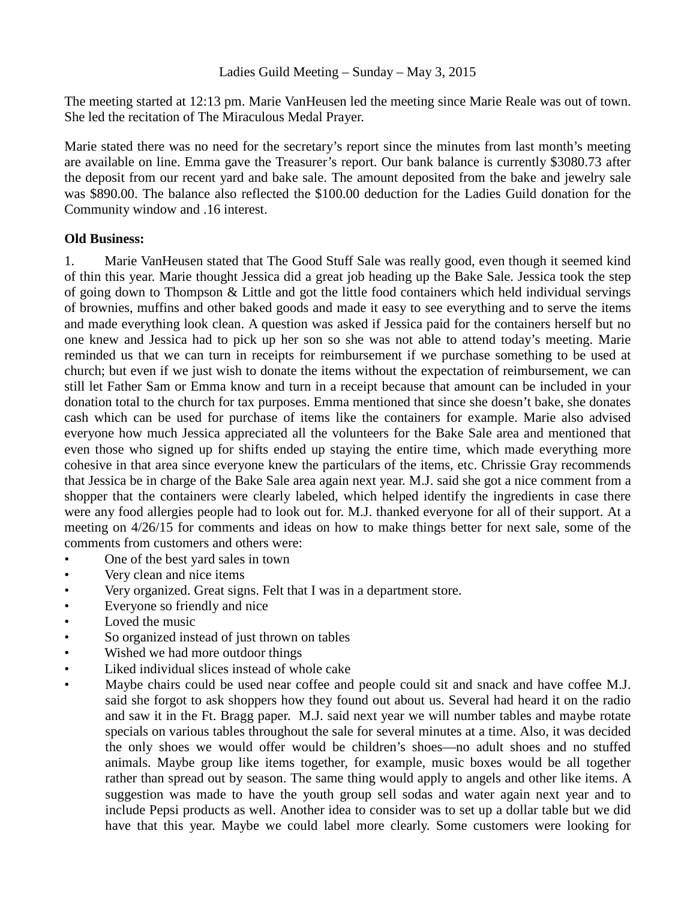## Ladies Guild Meeting – Sunday – May 3, 2015

The meeting started at 12:13 pm. Marie VanHeusen led the meeting since Marie Reale was out of town. She led the recitation of The Miraculous Medal Prayer.

Marie stated there was no need for the secretary's report since the minutes from last month's meeting are available on line. Emma gave the Treasurer's report. Our bank balance is currently \$3080.73 after the deposit from our recent yard and bake sale. The amount deposited from the bake and jewelry sale was \$890.00. The balance also reflected the \$100.00 deduction for the Ladies Guild donation for the Community window and .16 interest.

## **Old Business:**

1. Marie VanHeusen stated that The Good Stuff Sale was really good, even though it seemed kind of thin this year. Marie thought Jessica did a great job heading up the Bake Sale. Jessica took the step of going down to Thompson & Little and got the little food containers which held individual servings of brownies, muffins and other baked goods and made it easy to see everything and to serve the items and made everything look clean. A question was asked if Jessica paid for the containers herself but no one knew and Jessica had to pick up her son so she was not able to attend today's meeting. Marie reminded us that we can turn in receipts for reimbursement if we purchase something to be used at church; but even if we just wish to donate the items without the expectation of reimbursement, we can still let Father Sam or Emma know and turn in a receipt because that amount can be included in your donation total to the church for tax purposes. Emma mentioned that since she doesn't bake, she donates cash which can be used for purchase of items like the containers for example. Marie also advised everyone how much Jessica appreciated all the volunteers for the Bake Sale area and mentioned that even those who signed up for shifts ended up staying the entire time, which made everything more cohesive in that area since everyone knew the particulars of the items, etc. Chrissie Gray recommends that Jessica be in charge of the Bake Sale area again next year. M.J. said she got a nice comment from a shopper that the containers were clearly labeled, which helped identify the ingredients in case there were any food allergies people had to look out for. M.J. thanked everyone for all of their support. At a meeting on 4/26/15 for comments and ideas on how to make things better for next sale, some of the comments from customers and others were:

- One of the best yard sales in town
- Very clean and nice items
- Very organized. Great signs. Felt that I was in a department store.
- Everyone so friendly and nice
- Loved the music
- So organized instead of just thrown on tables
- Wished we had more outdoor things
- Liked individual slices instead of whole cake
- Maybe chairs could be used near coffee and people could sit and snack and have coffee M.J. said she forgot to ask shoppers how they found out about us. Several had heard it on the radio and saw it in the Ft. Bragg paper. M.J. said next year we will number tables and maybe rotate specials on various tables throughout the sale for several minutes at a time. Also, it was decided the only shoes we would offer would be children's shoes—no adult shoes and no stuffed animals. Maybe group like items together, for example, music boxes would be all together rather than spread out by season. The same thing would apply to angels and other like items. A suggestion was made to have the youth group sell sodas and water again next year and to include Pepsi products as well. Another idea to consider was to set up a dollar table but we did have that this year. Maybe we could label more clearly. Some customers were looking for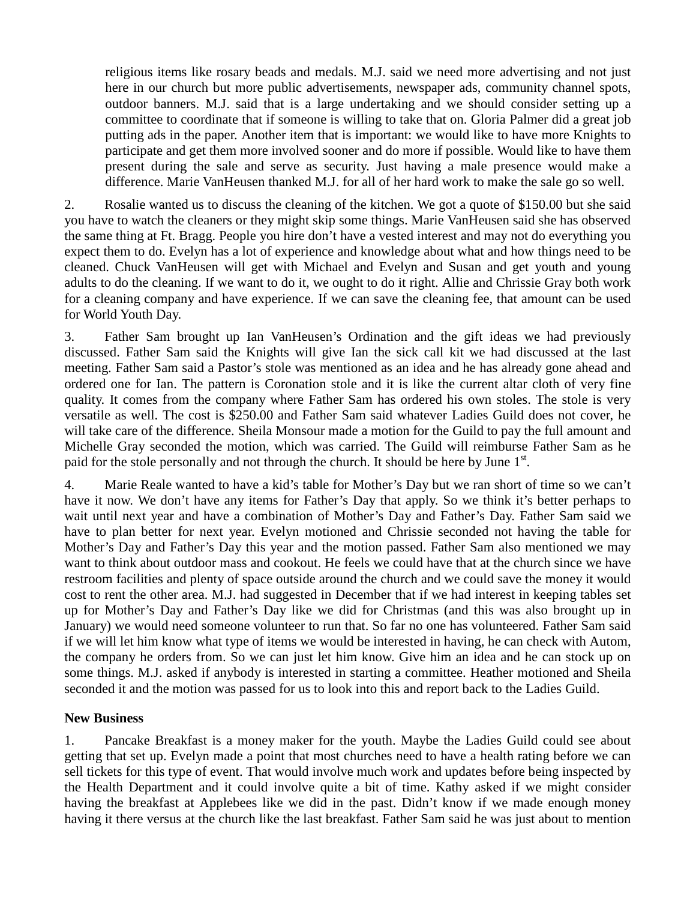religious items like rosary beads and medals. M.J. said we need more advertising and not just here in our church but more public advertisements, newspaper ads, community channel spots, outdoor banners. M.J. said that is a large undertaking and we should consider setting up a committee to coordinate that if someone is willing to take that on. Gloria Palmer did a great job putting ads in the paper. Another item that is important: we would like to have more Knights to participate and get them more involved sooner and do more if possible. Would like to have them present during the sale and serve as security. Just having a male presence would make a difference. Marie VanHeusen thanked M.J. for all of her hard work to make the sale go so well.

2. Rosalie wanted us to discuss the cleaning of the kitchen. We got a quote of \$150.00 but she said you have to watch the cleaners or they might skip some things. Marie VanHeusen said she has observed the same thing at Ft. Bragg. People you hire don't have a vested interest and may not do everything you expect them to do. Evelyn has a lot of experience and knowledge about what and how things need to be cleaned. Chuck VanHeusen will get with Michael and Evelyn and Susan and get youth and young adults to do the cleaning. If we want to do it, we ought to do it right. Allie and Chrissie Gray both work for a cleaning company and have experience. If we can save the cleaning fee, that amount can be used for World Youth Day.

3. Father Sam brought up Ian VanHeusen's Ordination and the gift ideas we had previously discussed. Father Sam said the Knights will give Ian the sick call kit we had discussed at the last meeting. Father Sam said a Pastor's stole was mentioned as an idea and he has already gone ahead and ordered one for Ian. The pattern is Coronation stole and it is like the current altar cloth of very fine quality. It comes from the company where Father Sam has ordered his own stoles. The stole is very versatile as well. The cost is \$250.00 and Father Sam said whatever Ladies Guild does not cover, he will take care of the difference. Sheila Monsour made a motion for the Guild to pay the full amount and Michelle Gray seconded the motion, which was carried. The Guild will reimburse Father Sam as he paid for the stole personally and not through the church. It should be here by June  $1<sup>st</sup>$ .

4. Marie Reale wanted to have a kid's table for Mother's Day but we ran short of time so we can't have it now. We don't have any items for Father's Day that apply. So we think it's better perhaps to wait until next year and have a combination of Mother's Day and Father's Day. Father Sam said we have to plan better for next year. Evelyn motioned and Chrissie seconded not having the table for Mother's Day and Father's Day this year and the motion passed. Father Sam also mentioned we may want to think about outdoor mass and cookout. He feels we could have that at the church since we have restroom facilities and plenty of space outside around the church and we could save the money it would cost to rent the other area. M.J. had suggested in December that if we had interest in keeping tables set up for Mother's Day and Father's Day like we did for Christmas (and this was also brought up in January) we would need someone volunteer to run that. So far no one has volunteered. Father Sam said if we will let him know what type of items we would be interested in having, he can check with Autom, the company he orders from. So we can just let him know. Give him an idea and he can stock up on some things. M.J. asked if anybody is interested in starting a committee. Heather motioned and Sheila seconded it and the motion was passed for us to look into this and report back to the Ladies Guild.

## **New Business**

1. Pancake Breakfast is a money maker for the youth. Maybe the Ladies Guild could see about getting that set up. Evelyn made a point that most churches need to have a health rating before we can sell tickets for this type of event. That would involve much work and updates before being inspected by the Health Department and it could involve quite a bit of time. Kathy asked if we might consider having the breakfast at Applebees like we did in the past. Didn't know if we made enough money having it there versus at the church like the last breakfast. Father Sam said he was just about to mention